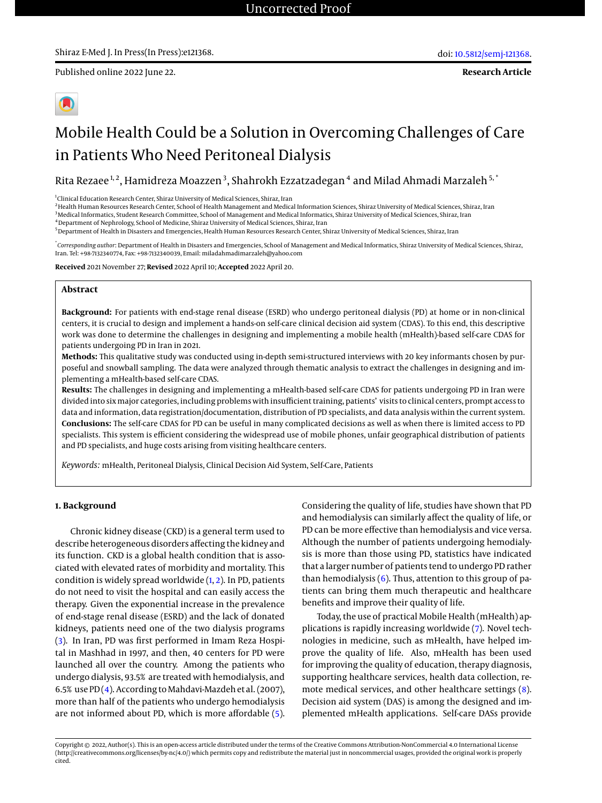**Research Article**



# Mobile Health Could be a Solution in Overcoming Challenges of Care in Patients Who Need Peritoneal Dialysis

Rita Rezaee<sup>1,2</sup>, Hamidreza Moazzen<sup>3</sup>, Shahrokh Ezzatzadegan<sup>4</sup> and Milad Ahmadi Marzaleh<sup>5,</sup>'

1 Clinical Education Research Center, Shiraz University of Medical Sciences, Shiraz, Iran

<sup>2</sup>Health Human Resources Research Center, School of Health Management and Medical Information Sciences, Shiraz University of Medical Sciences, Shiraz, Iran <sup>3</sup> Medical Informatics, Student Research Committee, School of Management and Medical Informatics, Shiraz University of Medical Sciences, Shiraz, Iran

<sup>4</sup>Department of Nephrology, School of Medicine, Shiraz University of Medical Sciences, Shiraz, Iran

<sup>5</sup> Department of Health in Disasters and Emergencies, Health Human Resources Research Center, Shiraz University of Medical Sciences, Shiraz, Iran

\* *Corresponding author*: Department of Health in Disasters and Emergencies, School of Management and Medical Informatics, Shiraz University of Medical Sciences, Shiraz, Iran. Tel: +98-7132340774, Fax: +98-7132340039, Email: miladahmadimarzaleh@yahoo.com

**Received** 2021 November 27; **Revised** 2022 April 10; **Accepted** 2022 April 20.

## **Abstract**

**Background:** For patients with end-stage renal disease (ESRD) who undergo peritoneal dialysis (PD) at home or in non-clinical centers, it is crucial to design and implement a hands-on self-care clinical decision aid system (CDAS). To this end, this descriptive work was done to determine the challenges in designing and implementing a mobile health (mHealth)-based self-care CDAS for patients undergoing PD in Iran in 2021.

**Methods:** This qualitative study was conducted using in-depth semi-structured interviews with 20 key informants chosen by purposeful and snowball sampling. The data were analyzed through thematic analysis to extract the challenges in designing and implementing a mHealth-based self-care CDAS.

**Results:** The challenges in designing and implementing a mHealth-based self-care CDAS for patients undergoing PD in Iran were divided into six major categories, including problems with insufficient training, patients' visits to clinical centers, prompt access to data and information, data registration/documentation, distribution of PD specialists, and data analysis within the current system. **Conclusions:** The self-care CDAS for PD can be useful in many complicated decisions as well as when there is limited access to PD specialists. This system is efficient considering the widespread use of mobile phones, unfair geographical distribution of patients and PD specialists, and huge costs arising from visiting healthcare centers.

*Keywords:* mHealth, Peritoneal Dialysis, Clinical Decision Aid System, Self-Care, Patients

### **1. Background**

Chronic kidney disease (CKD) is a general term used to describe heterogeneous disorders affecting the kidney and its function. CKD is a global health condition that is associated with elevated rates of morbidity and mortality. This condition is widely spread worldwide [\(1,](#page-4-0) [2\)](#page-4-1). In PD, patients do not need to visit the hospital and can easily access the therapy. Given the exponential increase in the prevalence of end-stage renal disease (ESRD) and the lack of donated kidneys, patients need one of the two dialysis programs [\(3\)](#page-4-2). In Iran, PD was first performed in Imam Reza Hospital in Mashhad in 1997, and then, 40 centers for PD were launched all over the country. Among the patients who undergo dialysis, 93.5% are treated with hemodialysis, and 6.5% use PD  $(4)$ . According to Mahdavi-Mazdeh et al. (2007), more than half of the patients who undergo hemodialysis are not informed about PD, which is more affordable [\(5\)](#page-4-4).

Considering the quality of life, studies have shown that PD and hemodialysis can similarly affect the quality of life, or PD can be more effective than hemodialysis and vice versa. Although the number of patients undergoing hemodialysis is more than those using PD, statistics have indicated that a larger number of patients tend to undergo PD rather than hemodialysis  $(6)$ . Thus, attention to this group of patients can bring them much therapeutic and healthcare benefits and improve their quality of life.

Today, the use of practical Mobile Health (mHealth) applications is rapidly increasing worldwide [\(7\)](#page-4-6). Novel technologies in medicine, such as mHealth, have helped improve the quality of life. Also, mHealth has been used for improving the quality of education, therapy diagnosis, supporting healthcare services, health data collection, remote medical services, and other healthcare settings [\(8\)](#page-4-7). Decision aid system (DAS) is among the designed and implemented mHealth applications. Self-care DASs provide

Copyright © 2022, Author(s). This is an open-access article distributed under the terms of the Creative Commons Attribution-NonCommercial 4.0 International License (http://creativecommons.org/licenses/by-nc/4.0/) which permits copy and redistribute the material just in noncommercial usages, provided the original work is properly cited.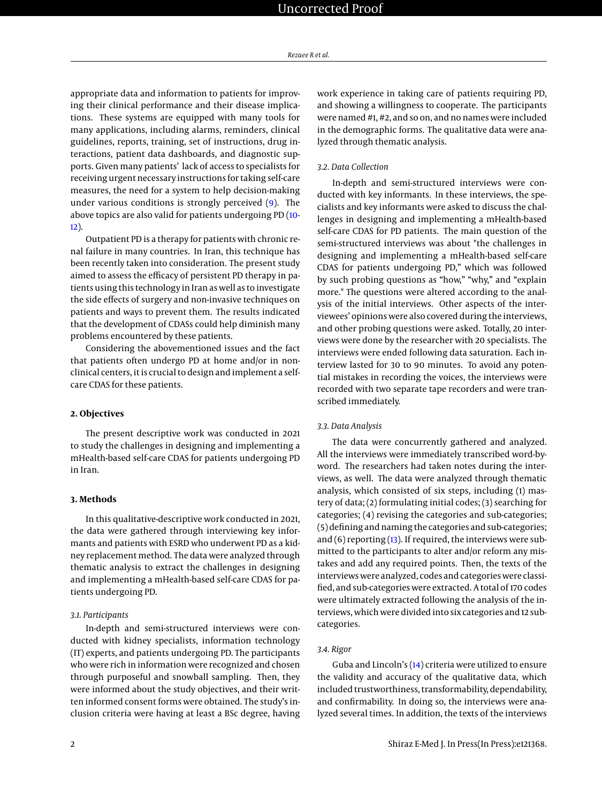appropriate data and information to patients for improving their clinical performance and their disease implications. These systems are equipped with many tools for many applications, including alarms, reminders, clinical guidelines, reports, training, set of instructions, drug interactions, patient data dashboards, and diagnostic supports. Given many patients' lack of access to specialists for receiving urgent necessary instructions for taking self-care measures, the need for a system to help decision-making under various conditions is strongly perceived [\(9\)](#page-4-8). The above topics are also valid for patients undergoing PD [\(10-](#page-4-9) [12\)](#page-4-10).

Outpatient PD is a therapy for patients with chronic renal failure in many countries. In Iran, this technique has been recently taken into consideration. The present study aimed to assess the efficacy of persistent PD therapy in patients using this technology in Iran as well as to investigate the side effects of surgery and non-invasive techniques on patients and ways to prevent them. The results indicated that the development of CDASs could help diminish many problems encountered by these patients.

Considering the abovementioned issues and the fact that patients often undergo PD at home and/or in nonclinical centers, it is crucial to design and implement a selfcare CDAS for these patients.

#### **2. Objectives**

The present descriptive work was conducted in 2021 to study the challenges in designing and implementing a mHealth-based self-care CDAS for patients undergoing PD in Iran.

## **3. Methods**

In this qualitative-descriptive work conducted in 2021, the data were gathered through interviewing key informants and patients with ESRD who underwent PD as a kidney replacement method. The data were analyzed through thematic analysis to extract the challenges in designing and implementing a mHealth-based self-care CDAS for patients undergoing PD.

## *3.1. Participants*

In-depth and semi-structured interviews were conducted with kidney specialists, information technology (IT) experts, and patients undergoing PD. The participants who were rich in information were recognized and chosen through purposeful and snowball sampling. Then, they were informed about the study objectives, and their written informed consent forms were obtained. The study's inclusion criteria were having at least a BSc degree, having

work experience in taking care of patients requiring PD, and showing a willingness to cooperate. The participants were named #1, #2, and so on, and no names were included in the demographic forms. The qualitative data were analyzed through thematic analysis.

## *3.2. Data Collection*

In-depth and semi-structured interviews were conducted with key informants. In these interviews, the specialists and key informants were asked to discuss the challenges in designing and implementing a mHealth-based self-care CDAS for PD patients. The main question of the semi-structured interviews was about "the challenges in designing and implementing a mHealth-based self-care CDAS for patients undergoing PD," which was followed by such probing questions as "how," "why," and "explain more." The questions were altered according to the analysis of the initial interviews. Other aspects of the interviewees' opinions were also covered during the interviews, and other probing questions were asked. Totally, 20 interviews were done by the researcher with 20 specialists. The interviews were ended following data saturation. Each interview lasted for 30 to 90 minutes. To avoid any potential mistakes in recording the voices, the interviews were recorded with two separate tape recorders and were transcribed immediately.

### *3.3. Data Analysis*

The data were concurrently gathered and analyzed. All the interviews were immediately transcribed word-byword. The researchers had taken notes during the interviews, as well. The data were analyzed through thematic analysis, which consisted of six steps, including (1) mastery of data; (2) formulating initial codes; (3) searching for categories; (4) revising the categories and sub-categories; (5) defining and naming the categories and sub-categories; and  $(6)$  reporting  $(13)$ . If required, the interviews were submitted to the participants to alter and/or reform any mistakes and add any required points. Then, the texts of the interviews were analyzed, codes and categories were classified, and sub-categories were extracted. A total of 170 codes were ultimately extracted following the analysis of the interviews, which were divided into six categories and 12 subcategories.

## *3.4. Rigor*

Guba and Lincoln's [\(14\)](#page-4-12) criteria were utilized to ensure the validity and accuracy of the qualitative data, which included trustworthiness, transformability, dependability, and confirmability. In doing so, the interviews were analyzed several times. In addition, the texts of the interviews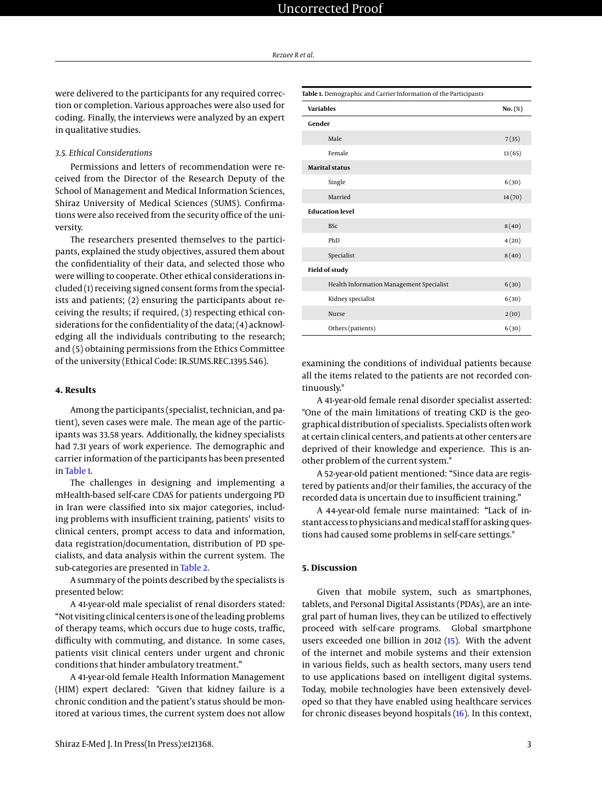were delivered to the participants for any required correction or completion. Various approaches were also used for coding. Finally, the interviews were analyzed by an expert in qualitative studies.

#### *3.5. Ethical Considerations*

Permissions and letters of recommendation were received from the Director of the Research Deputy of the School of Management and Medical Information Sciences, Shiraz University of Medical Sciences (SUMS). Confirmations were also received from the security office of the university.

The researchers presented themselves to the participants, explained the study objectives, assured them about the confidentiality of their data, and selected those who were willing to cooperate. Other ethical considerations included (1) receiving signed consent forms from the specialists and patients; (2) ensuring the participants about receiving the results; if required, (3) respecting ethical considerations for the confidentiality of the data; (4) acknowledging all the individuals contributing to the research; and (5) obtaining permissions from the Ethics Committee of the university (Ethical Code: IR.SUMS.REC.1395.S46).

### **4. Results**

Among the participants (specialist, technician, and patient), seven cases were male. The mean age of the participants was 33.58 years. Additionally, the kidney specialists had 7.31 years of work experience. The demographic and carrier information of the participants has been presented in [Table 1.](#page-2-0)

The challenges in designing and implementing a mHealth-based self-care CDAS for patients undergoing PD in Iran were classified into six major categories, including problems with insufficient training, patients' visits to clinical centers, prompt access to data and information, data registration/documentation, distribution of PD specialists, and data analysis within the current system. The sub-categories are presented in [Table 2.](#page-3-0)

A summary of the points described by the specialists is presented below:

A 41-year-old male specialist of renal disorders stated: "Not visiting clinical centers is one of the leading problems of therapy teams, which occurs due to huge costs, traffic, difficulty with commuting, and distance. In some cases, patients visit clinical centers under urgent and chronic conditions that hinder ambulatory treatment."

A 41-year-old female Health Information Management (HIM) expert declared: "Given that kidney failure is a chronic condition and the patient's status should be monitored at various times, the current system does not allow

<span id="page-2-0"></span>

| Table 1. Demographic and Carrier Information of the Participants |         |
|------------------------------------------------------------------|---------|
| <b>Variables</b>                                                 | No. (%) |
| Gender                                                           |         |
| Male                                                             | 7(35)   |
| Female                                                           | 13(65)  |
| <b>Marital status</b>                                            |         |
| Single                                                           | 6(30)   |
| Married                                                          | 14(70)  |
| <b>Education level</b>                                           |         |
| <b>BSc</b>                                                       | 8(40)   |
| PhD                                                              | 4(20)   |
| Specialist                                                       | 8(40)   |
| <b>Field of study</b>                                            |         |
| Health Information Management Specialist                         | 6(30)   |
| Kidney specialist                                                | 6(30)   |
| <b>Nurse</b>                                                     | 2(10)   |
| Others (patients)                                                | 6(30)   |

examining the conditions of individual patients because all the items related to the patients are not recorded continuously."

A 41-year-old female renal disorder specialist asserted: "One of the main limitations of treating CKD is the geographical distribution of specialists. Specialists often work at certain clinical centers, and patients at other centers are deprived of their knowledge and experience. This is another problem of the current system."

A 52-year-old patient mentioned: "Since data are registered by patients and/or their families, the accuracy of the recorded data is uncertain due to insufficient training."

A 44-year-old female nurse maintained: "Lack of instant access to physicians and medical staff for asking questions had caused some problems in self-care settings."

#### **5. Discussion**

Given that mobile system, such as smartphones, tablets, and Personal Digital Assistants (PDAs), are an integral part of human lives, they can be utilized to effectively proceed with self-care programs. Global smartphone users exceeded one billion in 2012 [\(15\)](#page-4-13). With the advent of the internet and mobile systems and their extension in various fields, such as health sectors, many users tend to use applications based on intelligent digital systems. Today, mobile technologies have been extensively developed so that they have enabled using healthcare services for chronic diseases beyond hospitals [\(16\)](#page-4-14). In this context,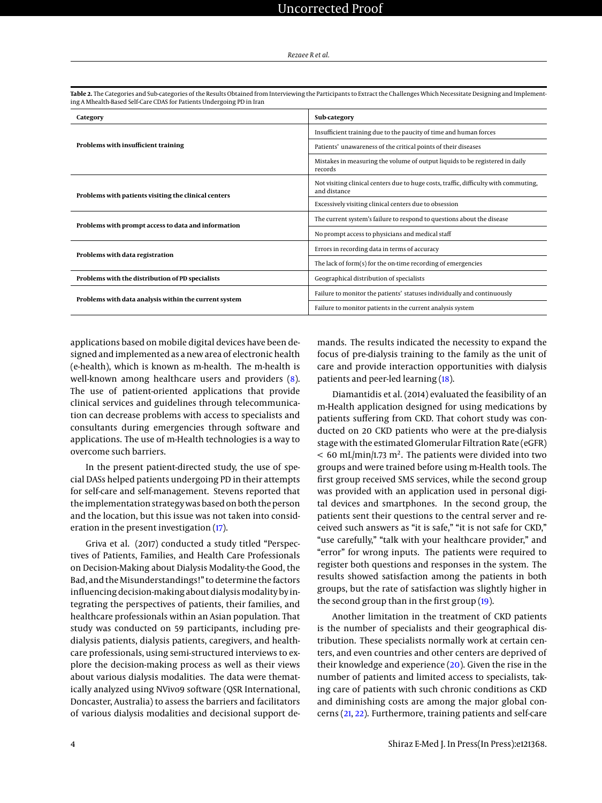| Category                                              | Sub-category                                                                                         |  |
|-------------------------------------------------------|------------------------------------------------------------------------------------------------------|--|
| Problems with insufficient training                   | Insufficient training due to the paucity of time and human forces                                    |  |
|                                                       | Patients' unawareness of the critical points of their diseases                                       |  |
|                                                       | Mistakes in measuring the volume of output liquids to be registered in daily<br>records              |  |
| Problems with patients visiting the clinical centers  | Not visiting clinical centers due to huge costs, traffic, difficulty with commuting,<br>and distance |  |
|                                                       | Excessively visiting clinical centers due to obsession                                               |  |
| Problems with prompt access to data and information   | The current system's failure to respond to questions about the disease                               |  |
|                                                       | No prompt access to physicians and medical staff                                                     |  |
| Problems with data registration                       | Errors in recording data in terms of accuracy                                                        |  |
|                                                       | The lack of form(s) for the on-time recording of emergencies                                         |  |
| Problems with the distribution of PD specialists      | Geographical distribution of specialists                                                             |  |
| Problems with data analysis within the current system | Failure to monitor the patients' statuses individually and continuously                              |  |
|                                                       | Failure to monitor patients in the current analysis system                                           |  |

<span id="page-3-0"></span>**Table 2.** The Categories and Sub-categories of the Results Obtained from Interviewing the Participants to Extract the Challenges Which Necessitate Designing and Implementing A Mhealth-Based Self-Care CDAS for Patients Undergoing PD in Iran

applications based on mobile digital devices have been designed and implemented as a new area of electronic health (e-health), which is known as m-health. The m-health is well-known among healthcare users and providers [\(8\)](#page-4-7). The use of patient-oriented applications that provide clinical services and guidelines through telecommunication can decrease problems with access to specialists and consultants during emergencies through software and applications. The use of m-Health technologies is a way to overcome such barriers.

In the present patient-directed study, the use of special DASs helped patients undergoing PD in their attempts for self-care and self-management. Stevens reported that the implementation strategy was based on both the person and the location, but this issue was not taken into consideration in the present investigation [\(17\)](#page-4-15).

Griva et al. (2017) conducted a study titled "Perspectives of Patients, Families, and Health Care Professionals on Decision-Making about Dialysis Modality-the Good, the Bad, and the Misunderstandings!" to determine the factors influencing decision-making about dialysismodality by integrating the perspectives of patients, their families, and healthcare professionals within an Asian population. That study was conducted on 59 participants, including predialysis patients, dialysis patients, caregivers, and healthcare professionals, using semi-structured interviews to explore the decision-making process as well as their views about various dialysis modalities. The data were thematically analyzed using NVivo9 software (QSR International, Doncaster, Australia) to assess the barriers and facilitators of various dialysis modalities and decisional support demands. The results indicated the necessity to expand the focus of pre-dialysis training to the family as the unit of care and provide interaction opportunities with dialysis patients and peer-led learning [\(18\)](#page-5-0).

Diamantidis et al. (2014) evaluated the feasibility of an m-Health application designed for using medications by patients suffering from CKD. That cohort study was conducted on 20 CKD patients who were at the pre-dialysis stage with the estimated Glomerular Filtration Rate (eGFR)  $< 60$  mL/min/1.73 m<sup>2</sup>. The patients were divided into two groups and were trained before using m-Health tools. The first group received SMS services, while the second group was provided with an application used in personal digital devices and smartphones. In the second group, the patients sent their questions to the central server and received such answers as "it is safe," "it is not safe for CKD," "use carefully," "talk with your healthcare provider," and "error" for wrong inputs. The patients were required to register both questions and responses in the system. The results showed satisfaction among the patients in both groups, but the rate of satisfaction was slightly higher in the second group than in the first group [\(19\)](#page-5-1).

Another limitation in the treatment of CKD patients is the number of specialists and their geographical distribution. These specialists normally work at certain centers, and even countries and other centers are deprived of their knowledge and experience [\(20\)](#page-5-2). Given the rise in the number of patients and limited access to specialists, taking care of patients with such chronic conditions as CKD and diminishing costs are among the major global concerns [\(21,](#page-5-3) [22\)](#page-5-4). Furthermore, training patients and self-care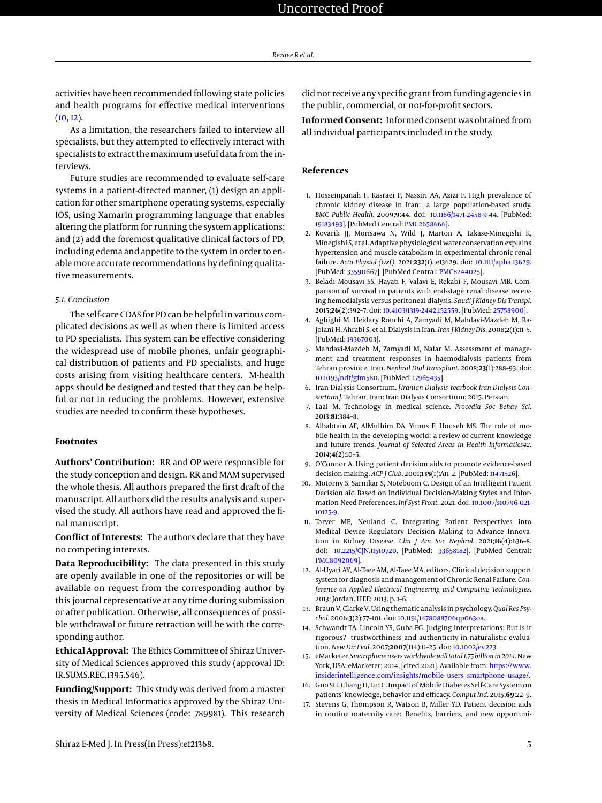activities have been recommended following state policies and health programs for effective medical interventions  $(10, 12)$  $(10, 12)$  $(10, 12)$ .

As a limitation, the researchers failed to interview all specialists, but they attempted to effectively interact with specialists to extract the maximum useful data from the interviews.

Future studies are recommended to evaluate self-care systems in a patient-directed manner, (1) design an application for other smartphone operating systems, especially IOS, using Xamarin programming language that enables altering the platform for running the system applications; and (2) add the foremost qualitative clinical factors of PD, including edema and appetite to the system in order to enable more accurate recommendations by defining qualitative measurements.

# *5.1. Conclusion*

The self-care CDAS for PD can be helpful in various complicated decisions as well as when there is limited access to PD specialists. This system can be effective considering the widespread use of mobile phones, unfair geographical distribution of patients and PD specialists, and huge costs arising from visiting healthcare centers. M-health apps should be designed and tested that they can be helpful or not in reducing the problems. However, extensive studies are needed to confirm these hypotheses.

## **Footnotes**

**Authors' Contribution:** RR and OP were responsible for the study conception and design. RR and MAM supervised the whole thesis. All authors prepared the first draft of the manuscript. All authors did the results analysis and supervised the study. All authors have read and approved the final manuscript.

**Conflict of Interests:** The authors declare that they have no competing interests.

**Data Reproducibility:** The data presented in this study are openly available in one of the repositories or will be available on request from the corresponding author by this journal representative at any time during submission or after publication. Otherwise, all consequences of possible withdrawal or future retraction will be with the corresponding author.

**Ethical Approval:** The Ethics Committee of Shiraz University of Medical Sciences approved this study (approval ID: IR.SUMS.REC.1395.S46).

**Funding/Support:** This study was derived from a master thesis in Medical Informatics approved by the Shiraz University of Medical Sciences (code: 789981). This research

did not receive any specific grant from funding agencies in the public, commercial, or not-for-profit sectors.

**Informed Consent:** Informed consent was obtained from all individual participants included in the study.

## **References**

- <span id="page-4-0"></span>1. Hosseinpanah F, Kasraei F, Nassiri AA, Azizi F. High prevalence of chronic kidney disease in Iran: a large population-based study. *BMC Public Health*. 2009;**9**:44. doi: [10.1186/1471-2458-9-44.](http://dx.doi.org/10.1186/1471-2458-9-44) [PubMed: [19183493\]](http://www.ncbi.nlm.nih.gov/pubmed/19183493). [PubMed Central: [PMC2658666\]](https://www.ncbi.nlm.nih.gov/pmc/articles/PMC2658666).
- <span id="page-4-1"></span>2. Kovarik JJ, Morisawa N, Wild J, Marton A, Takase-Minegishi K, Minegishi S, et al. Adaptive physiological water conservation explains hypertension and muscle catabolism in experimental chronic renal failure. *Acta Physiol (Oxf)*. 2021;**232**(1). e13629. doi: [10.1111/apha.13629.](http://dx.doi.org/10.1111/apha.13629) [PubMed: [33590667\]](http://www.ncbi.nlm.nih.gov/pubmed/33590667). [PubMed Central: [PMC8244025\]](https://www.ncbi.nlm.nih.gov/pmc/articles/PMC8244025).
- <span id="page-4-2"></span>3. Beladi Mousavi SS, Hayati F, Valavi E, Rekabi F, Mousavi MB. Comparison of survival in patients with end-stage renal disease receiving hemodialysis versus peritoneal dialysis. *Saudi J Kidney Dis Transpl*. 2015;**26**(2):392–7. doi: [10.4103/1319-2442.152559.](http://dx.doi.org/10.4103/1319-2442.152559) [PubMed: [25758900\]](http://www.ncbi.nlm.nih.gov/pubmed/25758900).
- <span id="page-4-3"></span>4. Aghighi M, Heidary Rouchi A, Zamyadi M, Mahdavi-Mazdeh M, Rajolani H, Ahrabi S, et al. Dialysis in Iran. *Iran J Kidney Dis*. 2008;**2**(1):11–5. [PubMed: [19367003\]](http://www.ncbi.nlm.nih.gov/pubmed/19367003).
- <span id="page-4-4"></span>5. Mahdavi-Mazdeh M, Zamyadi M, Nafar M. Assessment of management and treatment responses in haemodialysis patients from Tehran province, Iran. *Nephrol Dial Transplant*. 2008;**23**(1):288–93. doi: [10.1093/ndt/gfm580.](http://dx.doi.org/10.1093/ndt/gfm580) [PubMed: [17965435\]](http://www.ncbi.nlm.nih.gov/pubmed/17965435).
- <span id="page-4-5"></span>6. Iran Dialysis Consortium. *[Iranian Dialysis Yearbook Iran Dialysis Consortium]*. Tehran, Iran: Iran Dialysis Consortium; 2015. Persian.
- <span id="page-4-6"></span>7. Laal M. Technology in medical science. *Procedia Soc Behav Sci*. 2013;**81**:384–8.
- <span id="page-4-7"></span>8. Albabtain AF, AlMulhim DA, Yunus F, Househ MS. The role of mobile health in the developing world: a review of current knowledge and future trends. *Journal of Selected Areas in Health Informatics42*. 2014;**4**(2):10–5.
- <span id="page-4-8"></span>9. O'Connor A. Using patient decision aids to promote evidence-based decision making. *ACP J Club*. 2001;**135**(1):A11–2. [PubMed: [11471526\]](http://www.ncbi.nlm.nih.gov/pubmed/11471526).
- <span id="page-4-9"></span>10. Motorny S, Sarnikar S, Noteboom C. Design of an Intelligent Patient Decision aid Based on Individual Decision-Making Styles and Information Need Preferences. *Inf Syst Front*. 2021. doi: [10.1007/s10796-021-](http://dx.doi.org/10.1007/s10796-021-10125-9) [10125-9.](http://dx.doi.org/10.1007/s10796-021-10125-9)
- 11. Tarver ME, Neuland C. Integrating Patient Perspectives into Medical Device Regulatory Decision Making to Advance Innovation in Kidney Disease. *Clin J Am Soc Nephrol*. 2021;**16**(4):636–8. doi: [10.2215/CJN.11510720.](http://dx.doi.org/10.2215/CJN.11510720) [PubMed: [33658182\]](http://www.ncbi.nlm.nih.gov/pubmed/33658182). [PubMed Central: [PMC8092069\]](https://www.ncbi.nlm.nih.gov/pmc/articles/PMC8092069).
- <span id="page-4-10"></span>12. Al-Hyari AY, Al-Taee AM, Al-Taee MA, editors. Clinical decision support system for diagnosis and management of Chronic Renal Failure. *Conference on Applied Electrical Engineering and Computing Technologies*. 2013; Jordan. IEEE; 2013. p. 1–6.
- <span id="page-4-11"></span>13. Braun V, Clarke V. Using thematic analysis in psychology. *Qual Res Psychol*. 2006;**3**(2):77–101. doi: [10.1191/1478088706qp063oa.](http://dx.doi.org/10.1191/1478088706qp063oa)
- <span id="page-4-12"></span>14. Schwandt TA, Lincoln YS, Guba EG. Judging interpretations: But is it rigorous? trustworthiness and authenticity in naturalistic evaluation. *New Dir Eval*. 2007;**2007**(114):11–25. doi: [10.1002/ev.223.](http://dx.doi.org/10.1002/ev.223)
- <span id="page-4-13"></span>15. eMarketer. *Smartphone users worldwide will total 1.75 billionin 2014*. New York, USA: eMarketer; 2014, [cited 2021]. Available from: [https://www.](https://www.insiderintelligence.com/insights/mobile-users-smartphone-usage/) [insiderintelligence.com/insights/mobile-users-smartphone-usage/](https://www.insiderintelligence.com/insights/mobile-users-smartphone-usage/).
- <span id="page-4-14"></span>16. Guo SH, Chang H, Lin C. Impact of Mobile Diabetes Self-Care System on patients' knowledge, behavior and efficacy. *Comput Ind*. 2015;**69**:22–9.
- <span id="page-4-15"></span>17. Stevens G, Thompson R, Watson B, Miller YD. Patient decision aids in routine maternity care: Benefits, barriers, and new opportuni-